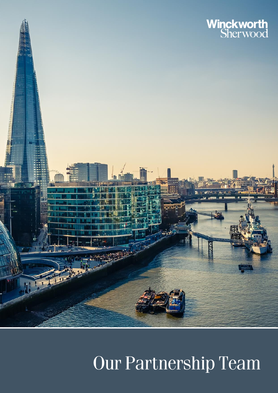

### Our Partnership Team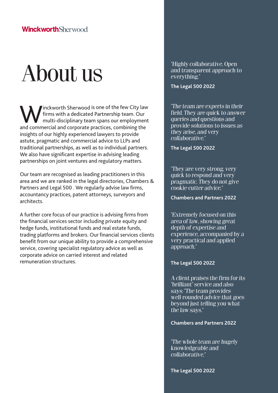## About us

Winckworth Sherwood is one of the few City law firms with a dedicated Partnership team. Our multi-disciplinary team spans our employment and commercial and corporate practices, combining the insights of our highly experienced lawyers to provide astute, pragmatic and commercial advice to LLPs and traditional partnerships, as well as to individual partners. We also have significant expertise in advising leading partnerships on joint ventures and regulatory matters.

Our team are recognised as leading practitioners in this area and we are ranked in the legal directories, Chambers & Partners and Legal 500 . We regularly advise law firms, accountancy practices, patent attorneys, surveyors and architects.

A further core focus of our practice is advising firms from the financial services sector including private equity and hedge funds, institutional funds and real estate funds, trading platforms and brokers. Our financial services clients benefit from our unique ability to provide a comprehensive service, covering specialist regulatory advice as well as corporate advice on carried interest and related remuneration structures.

"Highly collaborative. Open and transparent approach to everything."

**The Legal 500 2022**

"The team are experts in their field. They are quick to answer queries and questions and provide solutions to issues as they arise, and very collaborative."

**The Legal 500 2022**

"They are very strong, very quick to respond and very pragmatic. They do not give cookie-cutter advice."

**Chambers and Partners 2022**

"Extremely focused on this area of law, showing great depth of expertise and experience, accompanied by a very practical and applied approach."

#### **The Legal 500 2022**

A client praises the firm for its "brilliant" service and also says: "The team provides well-rounded advice that goes beyond just telling you what the law says."

#### **Chambers and Partners 2022**

"The whole team are hugely knowledgeable and collaborative."

**The Legal 500 2022**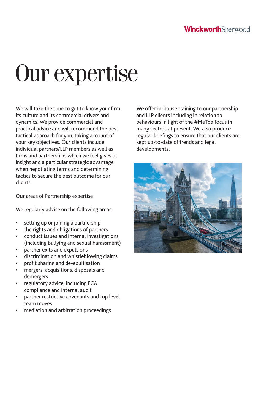# Our expertise

We will take the time to get to know your firm, its culture and its commercial drivers and dynamics. We provide commercial and practical advice and will recommend the best tactical approach for you, taking account of your key objectives. Our clients include individual partners/LLP members as well as firms and partnerships which we feel gives us insight and a particular strategic advantage when negotiating terms and determining tactics to secure the best outcome for our clients.

Our areas of Partnership expertise

We regularly advise on the following areas:

- setting up or joining a partnership
- the rights and obligations of partners
- conduct issues and internal investigations (including bullying and sexual harassment)
- partner exits and expulsions
- discrimination and whistleblowing claims
- profit sharing and de-equitisation
- mergers, acquisitions, disposals and demergers
- regulatory advice, including FCA compliance and internal audit
- partner restrictive covenants and top level team moves
- mediation and arbitration proceedings

We offer in-house training to our partnership and LLP clients including in relation to behaviours in light of the #MeToo focus in many sectors at present. We also produce regular briefings to ensure that our clients are kept up-to-date of trends and legal developments.